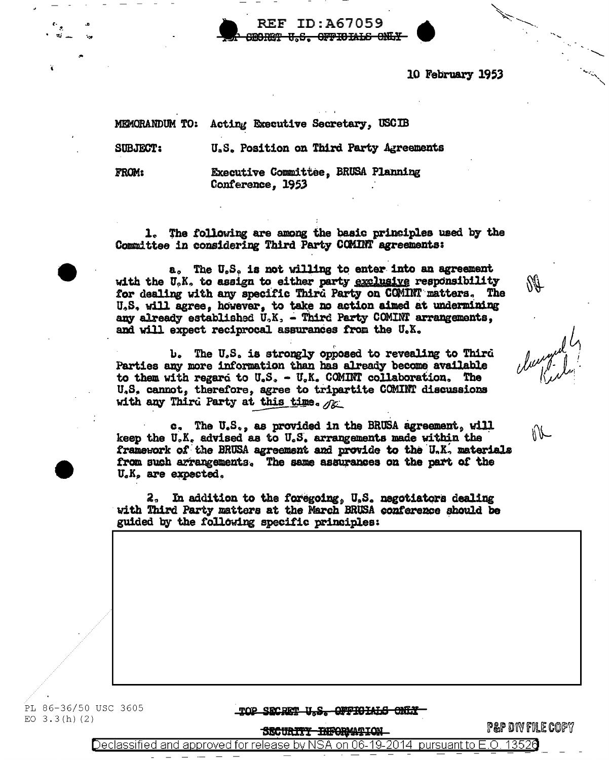10 February 1953

MEMORANDUM TO: Acting Executive Secretary, USCIB

**SUBJECT:** 

U.S. Position on Third Party Agreements

REF ID:A67059 **RORET U.S. OFFIOIALS ONLY** 

FROM:

Executive Committee, BRUSA Planning Conference. 1953

1. The following are among the basic principles used by the Committee in considering Third Party COMINT agreements:

a. The U.S. is not willing to enter into an agreement with the U.K. to assign to either party exclusive responsibility for dealing with any specific Third Party on COMINT matters. The U.S. will agree. however, to take no action aimed at undermining any already established  $U_aK_a$  - Third Party COMINT arrangements, and will expect reciprocal assurances from the U.X.

b. The U.S. is strongly opposed to revealing to Third Parties any more information than has already become available to them with regard to  $U_sS_s - U_sK_s$  COMINT collaboration, The U.S. cannot, therefore, agree to tripartite COMINT discussions with any Third Party at this time.  $\sqrt{\kappa}$ 

c. The U.S., as provided in the BRUSA agreement, will keep the U.K. advised as to U.S. arrangements made within the framework of the BRUSA agreement and provide to the U.K. materials from such arrangements. The same assurances on the part of the U.K. are expected.

2. In addition to the foregoing, U.S. negotiators dealing with Third Party matters at the March BRUSA conference should be guided by the following specific principles:

 $\mathbb{N}$ 

N II

PL 86-36/50 USC 3605 EO  $3.3(h)(2)$ 

TOP SECRET U.S. OFFIGIALS ONLY

SECURITY <del>INFORMATION</del>

**P&P DIV FILE COPY** 

Declassified and approved for release by NSA on 06-19-2014 pursuant to E.O. 13526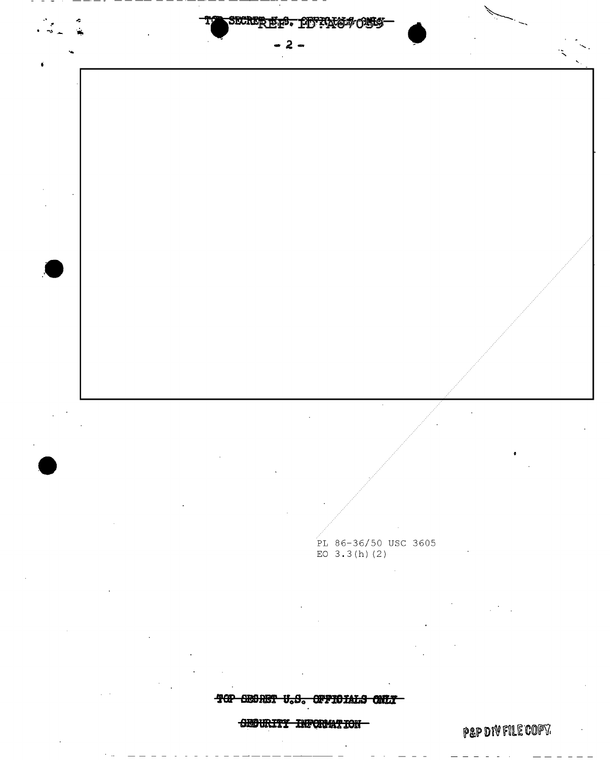

TOP SEGRET U.S. OFFICIALS ONLY

**SEGURITY INFORMATION** 

**PAP DIV FILE COPY.**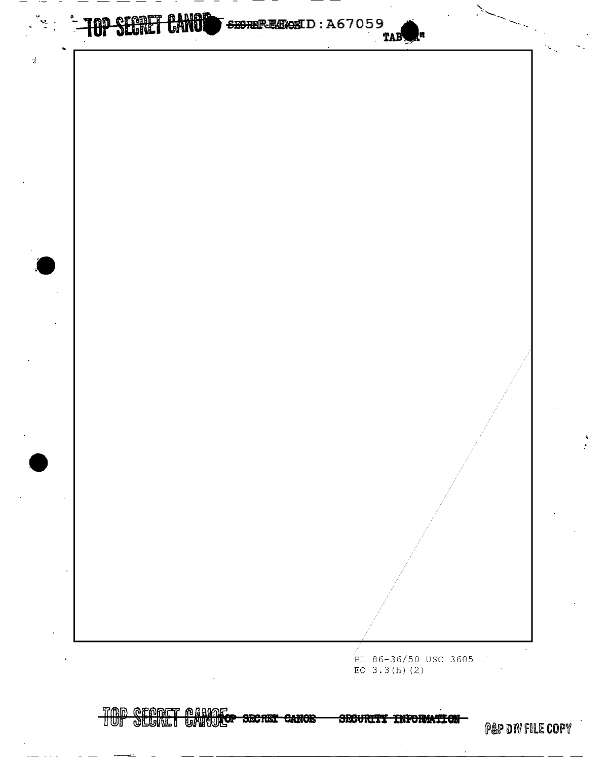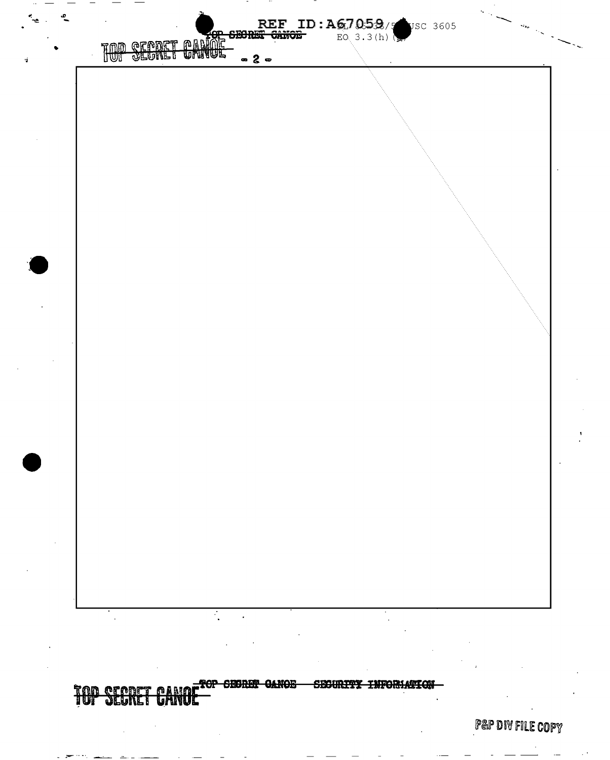

**P&P DIV FILE COPY**